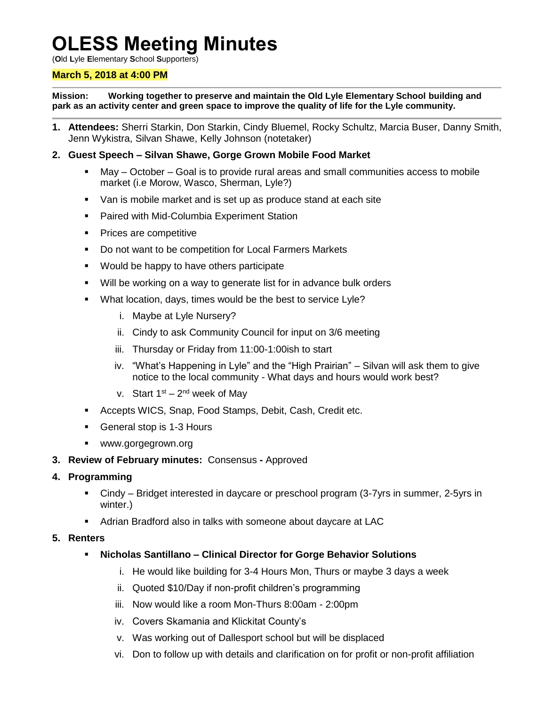# **OLESS Meeting Minutes**

(**O**ld **L**yle **E**lementary **S**chool **S**upporters)

#### **March 5, 2018 at 4:00 PM**

**Mission: Working together to preserve and maintain the Old Lyle Elementary School building and park as an activity center and green space to improve the quality of life for the Lyle community.**

- **1. Attendees:** Sherri Starkin, Don Starkin, Cindy Bluemel, Rocky Schultz, Marcia Buser, Danny Smith, Jenn Wykistra, Silvan Shawe, Kelly Johnson (notetaker)
- **2. Guest Speech – Silvan Shawe, Gorge Grown Mobile Food Market**
	- May October Goal is to provide rural areas and small communities access to mobile market (i.e Morow, Wasco, Sherman, Lyle?)
	- Van is mobile market and is set up as produce stand at each site
	- **Paired with Mid-Columbia Experiment Station**
	- Prices are competitive
	- Do not want to be competition for Local Farmers Markets
	- Would be happy to have others participate
	- Will be working on a way to generate list for in advance bulk orders
	- **What location, days, times would be the best to service Lyle?** 
		- i. Maybe at Lyle Nursery?
		- ii. Cindy to ask Community Council for input on 3/6 meeting
		- iii. Thursday or Friday from 11:00-1:00ish to start
		- iv. "What's Happening in Lyle" and the "High Prairian" Silvan will ask them to give notice to the local community - What days and hours would work best?
		- v. Start 1<sup>st</sup> 2<sup>nd</sup> week of May
	- Accepts WICS, Snap, Food Stamps, Debit, Cash, Credit etc.
	- General stop is 1-3 Hours
	- www.gorgegrown.org
- **3. Review of February minutes:** Consensus **-** Approved

#### **4. Programming**

- Cindy Bridget interested in daycare or preschool program (3-7yrs in summer, 2-5yrs in winter.)
- Adrian Bradford also in talks with someone about daycare at LAC

#### **5. Renters**

- **Nicholas Santillano – Clinical Director for Gorge Behavior Solutions**
	- i. He would like building for 3-4 Hours Mon, Thurs or maybe 3 days a week
	- ii. Quoted \$10/Day if non-profit children's programming
	- iii. Now would like a room Mon-Thurs 8:00am 2:00pm
	- iv. Covers Skamania and Klickitat County's
	- v. Was working out of Dallesport school but will be displaced
	- vi. Don to follow up with details and clarification on for profit or non-profit affiliation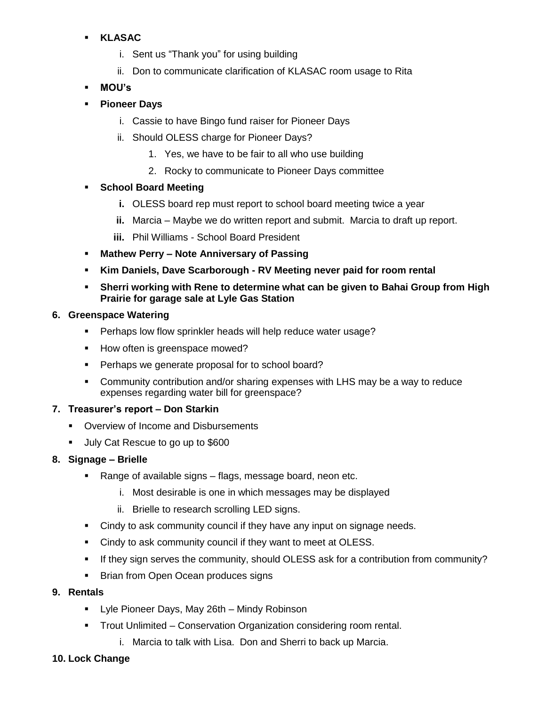## **KLASAC**

- i. Sent us "Thank you" for using building
- ii. Don to communicate clarification of KLASAC room usage to Rita
- **MOU's**
- **Pioneer Days**
	- i. Cassie to have Bingo fund raiser for Pioneer Days
	- ii. Should OLESS charge for Pioneer Days?
		- 1. Yes, we have to be fair to all who use building
		- 2. Rocky to communicate to Pioneer Days committee

## **School Board Meeting**

- **i.** OLESS board rep must report to school board meeting twice a year
- **ii.** Marcia Maybe we do written report and submit. Marcia to draft up report.
- **iii.** Phil Williams School Board President
- **Mathew Perry – Note Anniversary of Passing**
- **Kim Daniels, Dave Scarborough - RV Meeting never paid for room rental**
- **Sherri working with Rene to determine what can be given to Bahai Group from High Prairie for garage sale at Lyle Gas Station**

## **6. Greenspace Watering**

- **Perhaps low flow sprinkler heads will help reduce water usage?**
- How often is greenspace mowed?
- Perhaps we generate proposal for to school board?
- Community contribution and/or sharing expenses with LHS may be a way to reduce expenses regarding water bill for greenspace?

## **7. Treasurer's report – Don Starkin**

- **Overview of Income and Disbursements**
- July Cat Rescue to go up to \$600

## **8. Signage – Brielle**

- Range of available signs flags, message board, neon etc.
	- i. Most desirable is one in which messages may be displayed
	- ii. Brielle to research scrolling LED signs.
- Cindy to ask community council if they have any input on signage needs.
- Cindy to ask community council if they want to meet at OLESS.
- If they sign serves the community, should OLESS ask for a contribution from community?
- **Brian from Open Ocean produces signs**

## **9. Rentals**

- **EXECT:** Lyle Pioneer Days, May 26th Mindy Robinson
- Trout Unlimited Conservation Organization considering room rental.
	- i. Marcia to talk with Lisa. Don and Sherri to back up Marcia.
- **10. Lock Change**